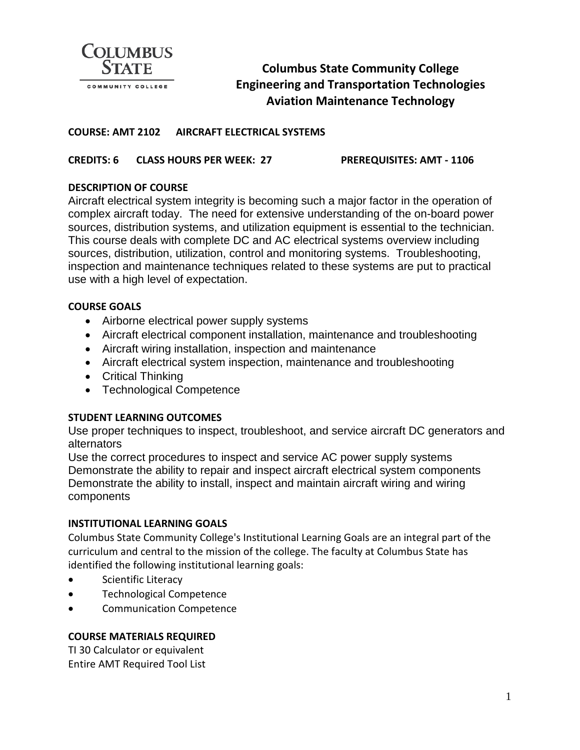

# **Columbus State Community College Engineering and Transportation Technologies Aviation Maintenance Technology**

#### **COURSE: AMT 2102 AIRCRAFT ELECTRICAL SYSTEMS**

**CREDITS: 6 CLASS HOURS PER WEEK: 27 PREREQUISITES: AMT - 1106**

## **DESCRIPTION OF COURSE**

Aircraft electrical system integrity is becoming such a major factor in the operation of complex aircraft today. The need for extensive understanding of the on-board power sources, distribution systems, and utilization equipment is essential to the technician. This course deals with complete DC and AC electrical systems overview including sources, distribution, utilization, control and monitoring systems. Troubleshooting, inspection and maintenance techniques related to these systems are put to practical use with a high level of expectation.

## **COURSE GOALS**

- Airborne electrical power supply systems
- Aircraft electrical component installation, maintenance and troubleshooting
- Aircraft wiring installation, inspection and maintenance
- Aircraft electrical system inspection, maintenance and troubleshooting
- Critical Thinking
- Technological Competence

## **STUDENT LEARNING OUTCOMES**

Use proper techniques to inspect, troubleshoot, and service aircraft DC generators and alternators

Use the correct procedures to inspect and service AC power supply systems Demonstrate the ability to repair and inspect aircraft electrical system components Demonstrate the ability to install, inspect and maintain aircraft wiring and wiring components

#### **INSTITUTIONAL LEARNING GOALS**

Columbus State Community College's Institutional Learning Goals are an integral part of the curriculum and central to the mission of the college. The faculty at Columbus State has identified the following institutional learning goals:

- Scientific Literacy
- Technological Competence
- Communication Competence

## **COURSE MATERIALS REQUIRED**

TI 30 Calculator or equivalent Entire AMT Required Tool List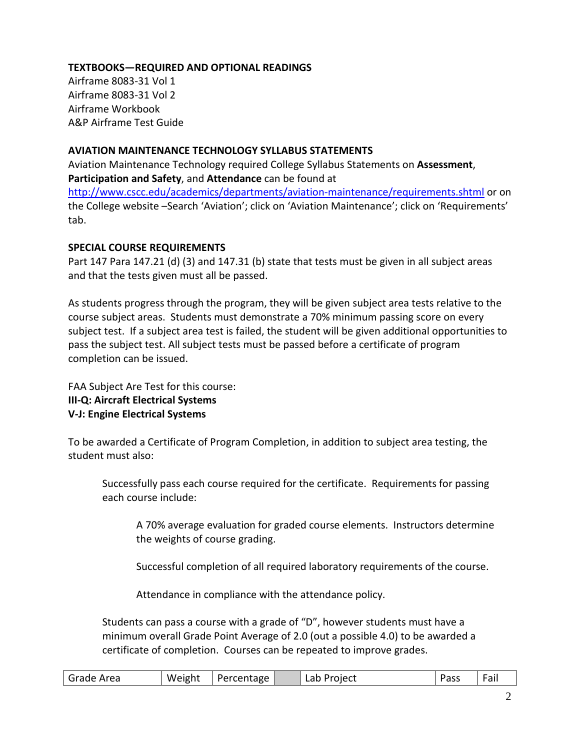## **TEXTBOOKS—REQUIRED AND OPTIONAL READINGS**

Airframe 8083-31 Vol 1 Airframe 8083-31 Vol 2 Airframe Workbook A&P Airframe Test Guide

#### **AVIATION MAINTENANCE TECHNOLOGY SYLLABUS STATEMENTS**

Aviation Maintenance Technology required College Syllabus Statements on **Assessment**, **Participation and Safety**, and **Attendance** can be found at

<http://www.cscc.edu/academics/departments/aviation-maintenance/requirements.shtml> or on the College website –Search 'Aviation'; click on 'Aviation Maintenance'; click on 'Requirements' tab.

#### **SPECIAL COURSE REQUIREMENTS**

Part 147 Para 147.21 (d) (3) and 147.31 (b) state that tests must be given in all subject areas and that the tests given must all be passed.

As students progress through the program, they will be given subject area tests relative to the course subject areas. Students must demonstrate a 70% minimum passing score on every subject test. If a subject area test is failed, the student will be given additional opportunities to pass the subject test. All subject tests must be passed before a certificate of program completion can be issued.

FAA Subject Are Test for this course: **III-Q: Aircraft Electrical Systems V-J: Engine Electrical Systems**

To be awarded a Certificate of Program Completion, in addition to subject area testing, the student must also:

Successfully pass each course required for the certificate. Requirements for passing each course include:

A 70% average evaluation for graded course elements. Instructors determine the weights of course grading.

Successful completion of all required laboratory requirements of the course.

Attendance in compliance with the attendance policy.

Students can pass a course with a grade of "D", however students must have a minimum overall Grade Point Average of 2.0 (out a possible 4.0) to be awarded a certificate of completion. Courses can be repeated to improve grades.

| l Grade Area | Weight | Percentage |  | Project<br>Lab |  | Pass | -<br>$\overline{\phantom{0}}$<br>ra. |
|--------------|--------|------------|--|----------------|--|------|--------------------------------------|
|--------------|--------|------------|--|----------------|--|------|--------------------------------------|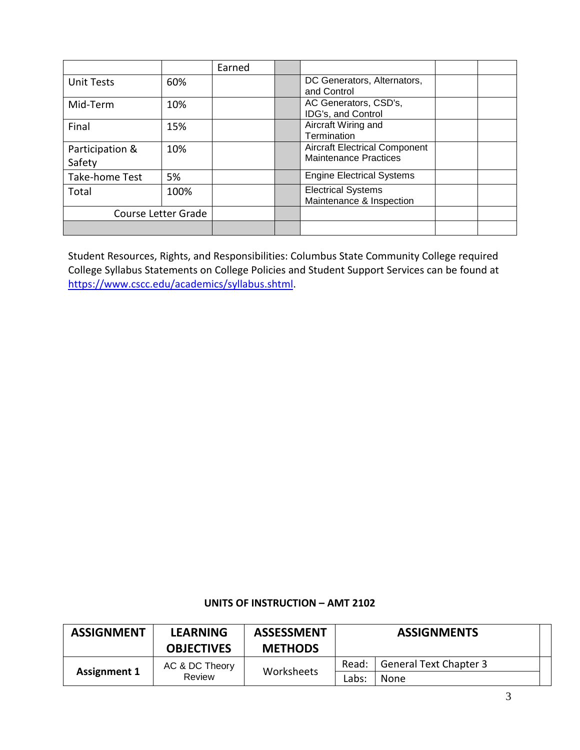|                           |      | Earned |                                                                      |  |
|---------------------------|------|--------|----------------------------------------------------------------------|--|
| <b>Unit Tests</b>         | 60%  |        | DC Generators, Alternators,<br>and Control                           |  |
| Mid-Term                  | 10%  |        | AC Generators, CSD's,<br>IDG's, and Control                          |  |
| Final                     | 15%  |        | Aircraft Wiring and<br>Termination                                   |  |
| Participation &<br>Safety | 10%  |        | <b>Aircraft Electrical Component</b><br><b>Maintenance Practices</b> |  |
| Take-home Test            | 5%   |        | <b>Engine Electrical Systems</b>                                     |  |
| Total                     | 100% |        | <b>Electrical Systems</b><br>Maintenance & Inspection                |  |
| Course Letter Grade       |      |        |                                                                      |  |
|                           |      |        |                                                                      |  |

Student Resources, Rights, and Responsibilities: Columbus State Community College required College Syllabus Statements on College Policies and Student Support Services can be found at [https://www.cscc.edu/academics/syllabus.shtml.](https://www.cscc.edu/academics/syllabus.shtml)

#### **UNITS OF INSTRUCTION – AMT 2102**

| <b>ASSIGNMENT</b>             | <b>LEARNING</b><br><b>OBJECTIVES</b> | <b>ASSESSMENT</b><br><b>METHODS</b> |       | <b>ASSIGNMENTS</b>            |  |  |
|-------------------------------|--------------------------------------|-------------------------------------|-------|-------------------------------|--|--|
| <b>Assignment 1</b><br>Review | AC & DC Theory                       |                                     | Read: | <b>General Text Chapter 3</b> |  |  |
|                               |                                      | Worksheets                          | Labs: | None                          |  |  |